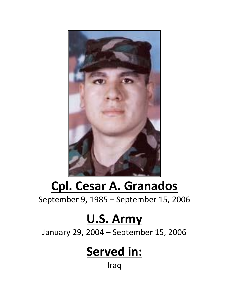

## **Cpl. Cesar A. Granados**

September 9, 1985 – September 15, 2006

## **U.S. Army**

January 29, 2004 – September 15, 2006

## **Served in:**

Iraq